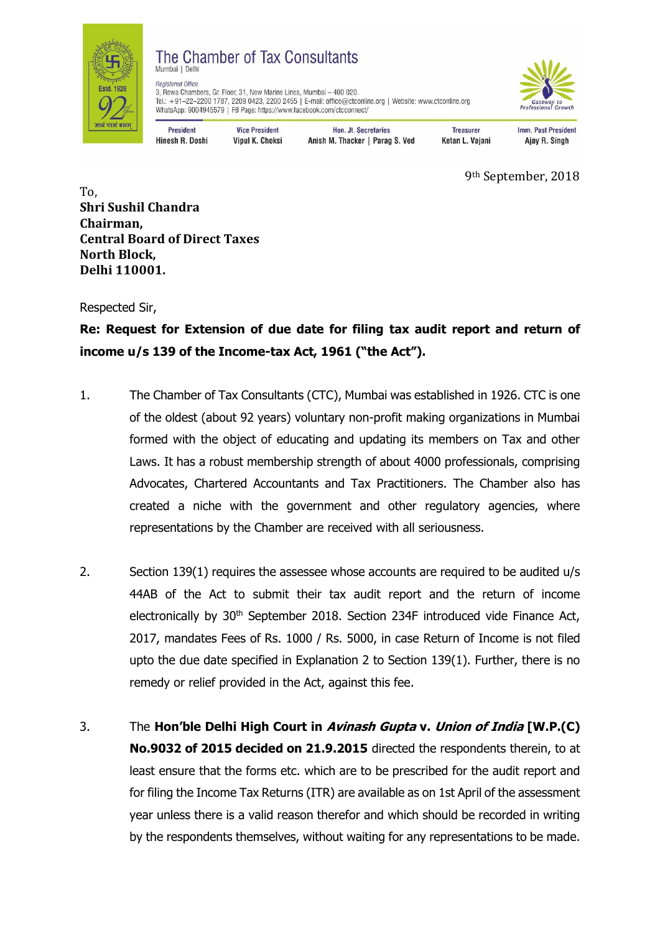

## The Chamber of Tax Consultants Mumbai | Delh



**Registered Office** negosterer omee<br>3, Rewa Chambers, Gr. Floor, 31, New Marine Lines, Mumbai – 400 020.<br>Tel.: +91–22–2200 1787, 2209 0423, 2200 2455 | E-mail: office@ctconline.org | Website: www.ctconline.org<br>WhatsApp: 9004945579 | FB Page:

President Hinesh R. Doshi

**Vice President** Vipul K. Choksi

Hon. Jt. Secretaries Anish M. Thacker | Parag S. Ved

**Treasurer** Ketan L. Vajani Imm. Past President Ajay R. Singh

9th September, 2018

To, **Shri Sushil Chandra Chairman, Central Board of Direct Taxes North Block, Delhi 110001.** 

Respected Sir,

**Re: Request for Extension of due date for filing tax audit report and return of income u/s 139 of the Income-tax Act, 1961 ("the Act").** 

- 1. The Chamber of Tax Consultants (CTC), Mumbai was established in 1926. CTC is one of the oldest (about 92 years) voluntary non-profit making organizations in Mumbai formed with the object of educating and updating its members on Tax and other Laws. It has a robust membership strength of about 4000 professionals, comprising Advocates, Chartered Accountants and Tax Practitioners. The Chamber also has created a niche with the government and other regulatory agencies, where representations by the Chamber are received with all seriousness.
- 2. Section 139(1) requires the assessee whose accounts are required to be audited u/s 44AB of the Act to submit their tax audit report and the return of income electronically by 30<sup>th</sup> September 2018. Section 234F introduced vide Finance Act, 2017, mandates Fees of Rs. 1000 / Rs. 5000, in case Return of Income is not filed upto the due date specified in Explanation 2 to Section 139(1). Further, there is no remedy or relief provided in the Act, against this fee.
- 3. The **Hon'ble Delhi High Court in Avinash Gupta v. Union of India [W.P.(C) No.9032 of 2015 decided on 21.9.2015** directed the respondents therein, to at least ensure that the forms etc. which are to be prescribed for the audit report and for filing the Income Tax Returns (ITR) are available as on 1st April of the assessment year unless there is a valid reason therefor and which should be recorded in writing by the respondents themselves, without waiting for any representations to be made.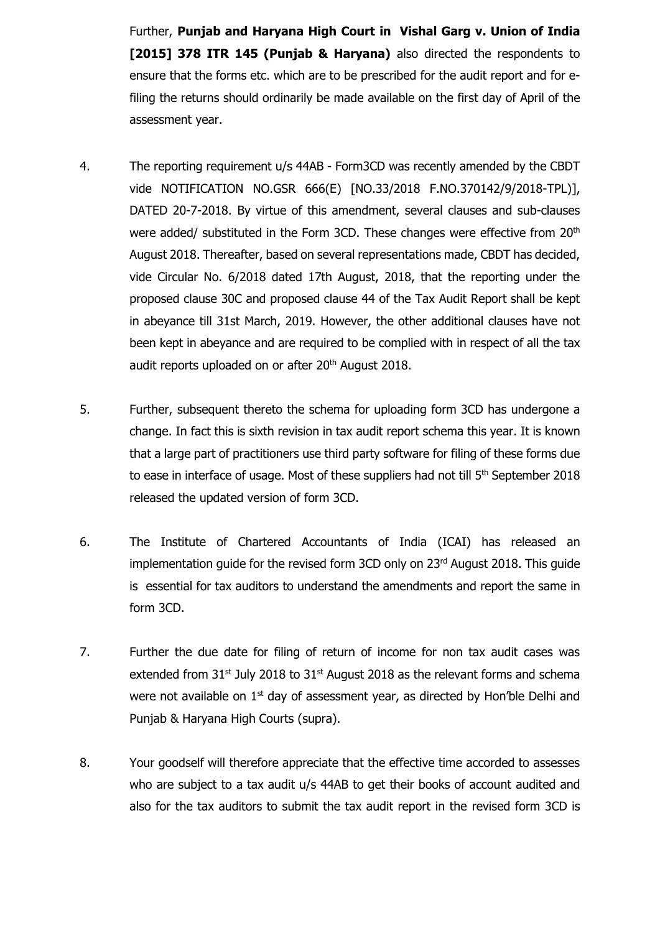Further, **Punjab and Haryana High Court in Vishal Garg v. Union of India [2015] 378 ITR 145 (Punjab & Haryana)** also directed the respondents to ensure that the forms etc. which are to be prescribed for the audit report and for efiling the returns should ordinarily be made available on the first day of April of the assessment year.

- 4. The reporting requirement u/s 44AB Form3CD was recently amended by the CBDT vide NOTIFICATION NO.GSR 666(E) [NO.33/2018 F.NO.370142/9/2018-TPL)], DATED 20-7-2018. By virtue of this amendment, several clauses and sub-clauses were added/ substituted in the Form 3CD. These changes were effective from 20<sup>th</sup> August 2018. Thereafter, based on several representations made, CBDT has decided, vide Circular No. 6/2018 dated 17th August, 2018, that the reporting under the proposed clause 30C and proposed clause 44 of the Tax Audit Report shall be kept in abeyance till 31st March, 2019. However, the other additional clauses have not been kept in abeyance and are required to be complied with in respect of all the tax audit reports uploaded on or after 20<sup>th</sup> August 2018.
- 5. Further, subsequent thereto the schema for uploading form 3CD has undergone a change. In fact this is sixth revision in tax audit report schema this year. It is known that a large part of practitioners use third party software for filing of these forms due to ease in interface of usage. Most of these suppliers had not till 5<sup>th</sup> September 2018 released the updated version of form 3CD.
- 6. The Institute of Chartered Accountants of India (ICAI) has released an implementation quide for the revised form  $3CD$  only on  $23<sup>rd</sup>$  August 2018. This quide is essential for tax auditors to understand the amendments and report the same in form 3CD.
- 7. Further the due date for filing of return of income for non tax audit cases was extended from  $31^{st}$  July 2018 to  $31^{st}$  August 2018 as the relevant forms and schema were not available on  $1<sup>st</sup>$  day of assessment year, as directed by Hon'ble Delhi and Punjab & Haryana High Courts (supra).
- 8. Your goodself will therefore appreciate that the effective time accorded to assesses who are subject to a tax audit u/s 44AB to get their books of account audited and also for the tax auditors to submit the tax audit report in the revised form 3CD is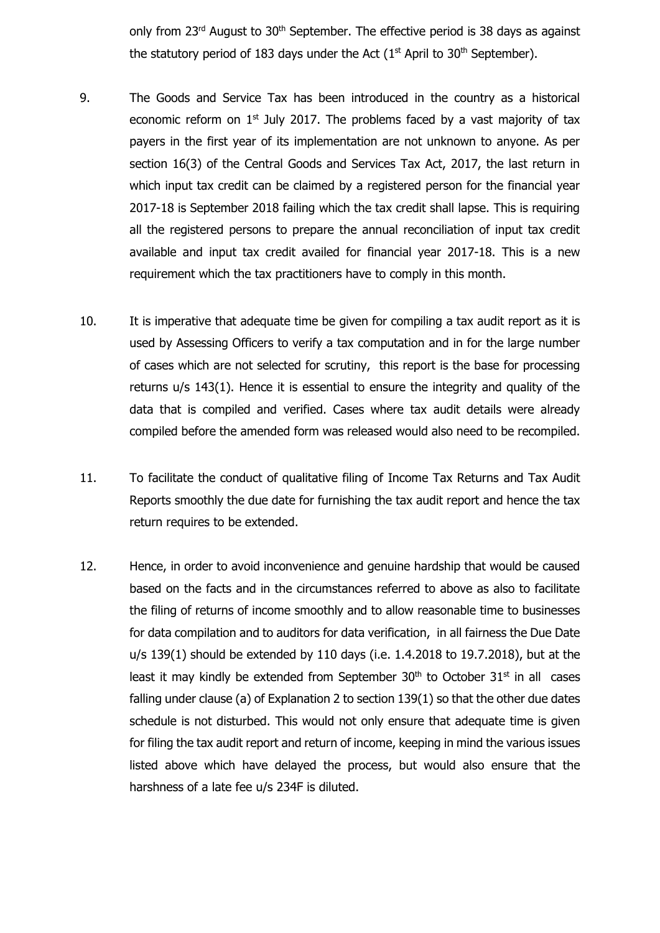only from  $23<sup>rd</sup>$  August to  $30<sup>th</sup>$  September. The effective period is 38 days as against the statutory period of 183 days under the Act ( $1<sup>st</sup>$  April to 30<sup>th</sup> September).

- 9. The Goods and Service Tax has been introduced in the country as a historical economic reform on  $1<sup>st</sup>$  July 2017. The problems faced by a vast majority of tax payers in the first year of its implementation are not unknown to anyone. As per section 16(3) of the Central Goods and Services Tax Act, 2017, the last return in which input tax credit can be claimed by a registered person for the financial year 2017-18 is September 2018 failing which the tax credit shall lapse. This is requiring all the registered persons to prepare the annual reconciliation of input tax credit available and input tax credit availed for financial year 2017-18. This is a new requirement which the tax practitioners have to comply in this month.
- 10. It is imperative that adequate time be given for compiling a tax audit report as it is used by Assessing Officers to verify a tax computation and in for the large number of cases which are not selected for scrutiny, this report is the base for processing returns u/s 143(1). Hence it is essential to ensure the integrity and quality of the data that is compiled and verified. Cases where tax audit details were already compiled before the amended form was released would also need to be recompiled.
- 11. To facilitate the conduct of qualitative filing of Income Tax Returns and Tax Audit Reports smoothly the due date for furnishing the tax audit report and hence the tax return requires to be extended.
- 12. Hence, in order to avoid inconvenience and genuine hardship that would be caused based on the facts and in the circumstances referred to above as also to facilitate the filing of returns of income smoothly and to allow reasonable time to businesses for data compilation and to auditors for data verification, in all fairness the Due Date u/s 139(1) should be extended by 110 days (i.e. 1.4.2018 to 19.7.2018), but at the least it may kindly be extended from September  $30<sup>th</sup>$  to October  $31<sup>st</sup>$  in all cases falling under clause (a) of Explanation 2 to section 139(1) so that the other due dates schedule is not disturbed. This would not only ensure that adequate time is given for filing the tax audit report and return of income, keeping in mind the various issues listed above which have delayed the process, but would also ensure that the harshness of a late fee u/s 234F is diluted.